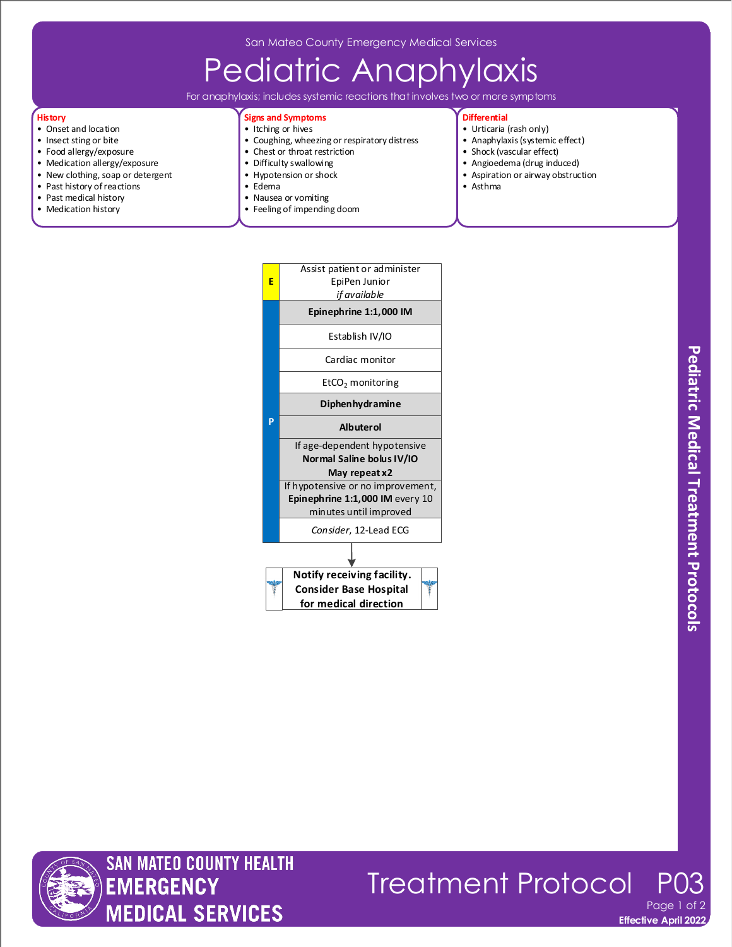San Mateo County Emergency Medical Services

## Pediatric Anaphylaxis

For anaphylaxis; includes systemic reactions that involves two or more symptoms

#### **History**

- Onset and location
- Insect sting or bite
- Food allergy/exposure
- Medication allergy/exposure
- New clothing, soap or detergent • Past history of reactions
- 
- Past medical history • Medication history
- Coughing, wheezing or respiratory distress
	- Chest or throat restriction
		- Difficulty swallowing
		- Hypotension or shock

**Signs and Symptoms** • Itching or hives

- Edema
- Nausea or vomiting
- Feeling of impending doom

### **Differential**

- Urticaria (rash only)
- Anaphylaxis (systemic effect)
- Shock (vascular effect)
- Angioedema (drug induced)
- Aspiration or airway obstruction • Asthma
- 





**Treatment Protocol** Page

**Effective April 2022**